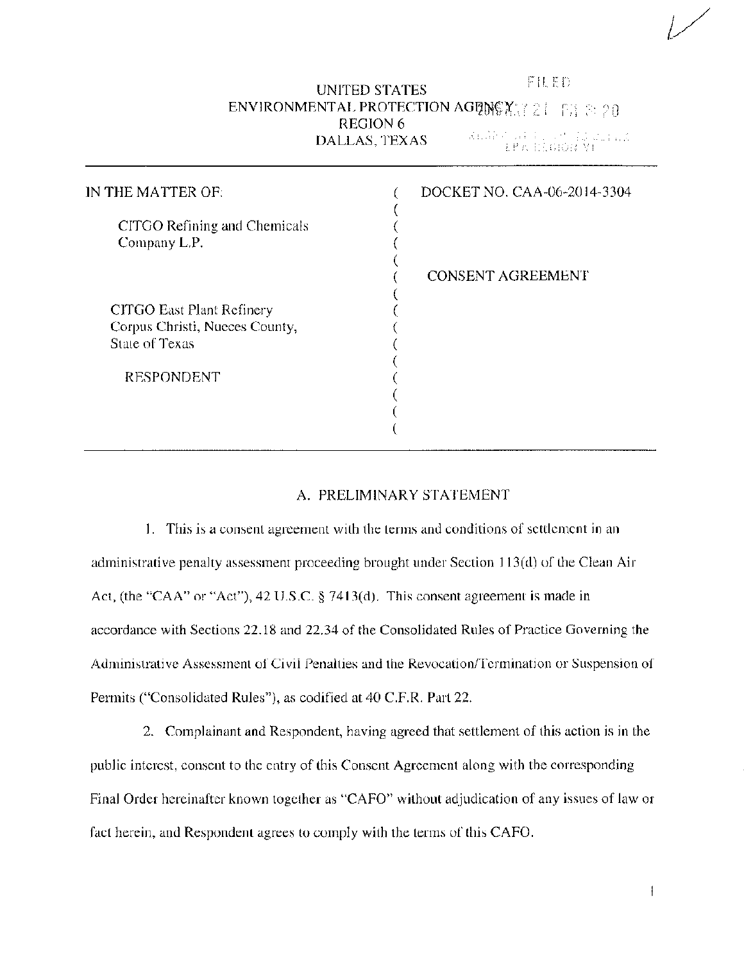# FlLED UNITED STATES ENVIRONMENTAL PROTECTION AGENCY  $(21 - 1)$   $\approx$  20 REGION 6<br>DALLAS, TEXAS DALLAS, TEXAS . 1.'; -, i

| IN THE MATTER OF:                                                             | DOCKET NO. CAA-06-2014-3304 |
|-------------------------------------------------------------------------------|-----------------------------|
| CITGO Refining and Chemicals<br>Company L.P.                                  |                             |
|                                                                               | <b>CONSENT AGREEMENT</b>    |
| CITGO East Plant Refinery<br>Corpus Christi, Nueces County,<br>State of Texas |                             |
| <b>RESPONDENT</b>                                                             |                             |
|                                                                               |                             |

#### A. PRELIMINARY STATEMENT

I. This is a consent agreement with the terms and conditions of settlement in an administrative penalty assessment proceeding brought under Section 113(d) of the Clean Air Act, (the "CAA" or "Act"), 42 U.S.C. § 7413(d). This consent agreement is made in accordance with Sections 22.18 and 22.34 of the Consolidated Rules of Practice Governing the Administrative Assessment of Civil Penalties and the Revocation/Termination or Suspension of Permits ("Consolidated Rules"), as codified at 40 C.F.R. Part 22.

2. Complainant and Respondent, having agreed that settlement of this action is in the public interest, consent to the entry of this Consent Agreement along with the corresponding Final Order hereinafter known together as "CAFO" without adjudication of any issues of law or fact herein, and Respondent agrees to comply with the terms of this CAFO.

 $\mathbf{I}$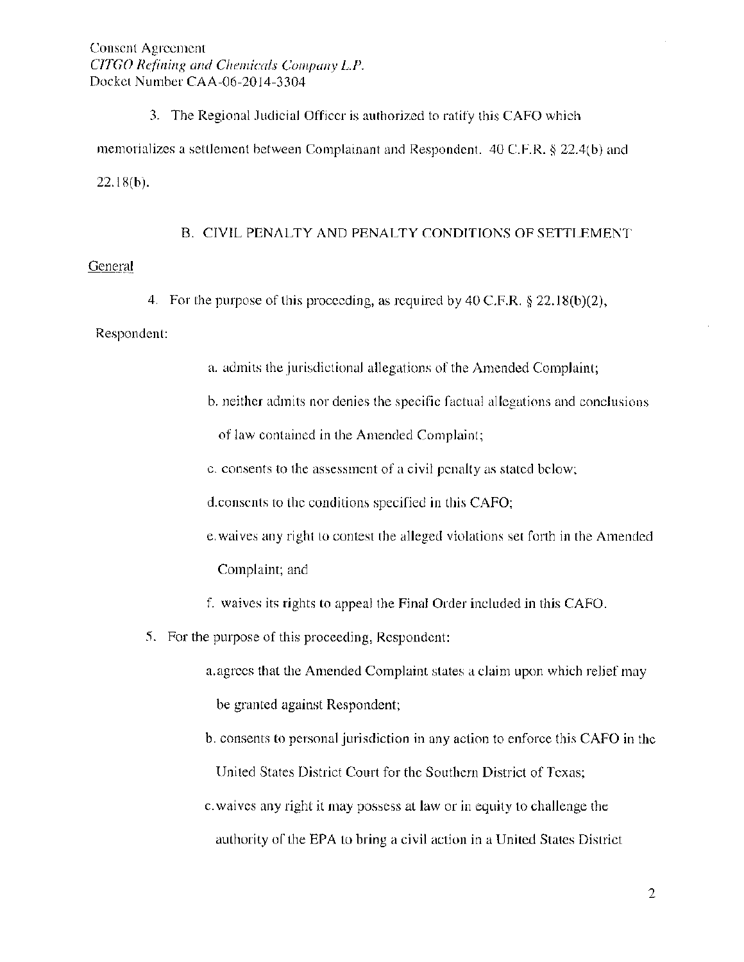Consent Agreement *CITGO Refining and Chemicals Company L.P.* Docket Number CAA-06-2014-3304

3. The Regional Judicial Officer is authorized to ratify this CAFO which memorializes a settlement between Complainant and Respondent. 40 C.F.R. § 22.4(b) and 22.18(b).

B. CIVIL PENALTY AND PENALTY CONDITIONS OF SETTLEMENT

# General

4. For the purpose of this proceeding, as required by 40 C.F.R.  $\S$  22.18(b)(2),

#### Respondent:

- a. admits the jurisdictional allegations of the Amended Complaint;
- b. neither admits nor denies the specific factual allegations and conclusions

of law contained in the Amended Complaint;

c. consents to the assessment of a civil penalty as stated below;

d.consents to the conditions specified in this CAFO;

- e. waives any right to contest the alleged violations set forth in the Amended Complaint; and
- f. waives its rights to appeal the Final Order included in this CAFO.
- 5. For the purpose of this proceeding, Respondent:

a. agrees that the Amended Complaint states a claim upon which relief may be granted against Respondent;

- b. consents to personal jurisdiction in any action to enforce this CAFO in the United States District Court for the Southern District of Texas;
- c. waives any right it may possess at law or in equity to challenge the authority of the EPA to bring a civil action in a United States District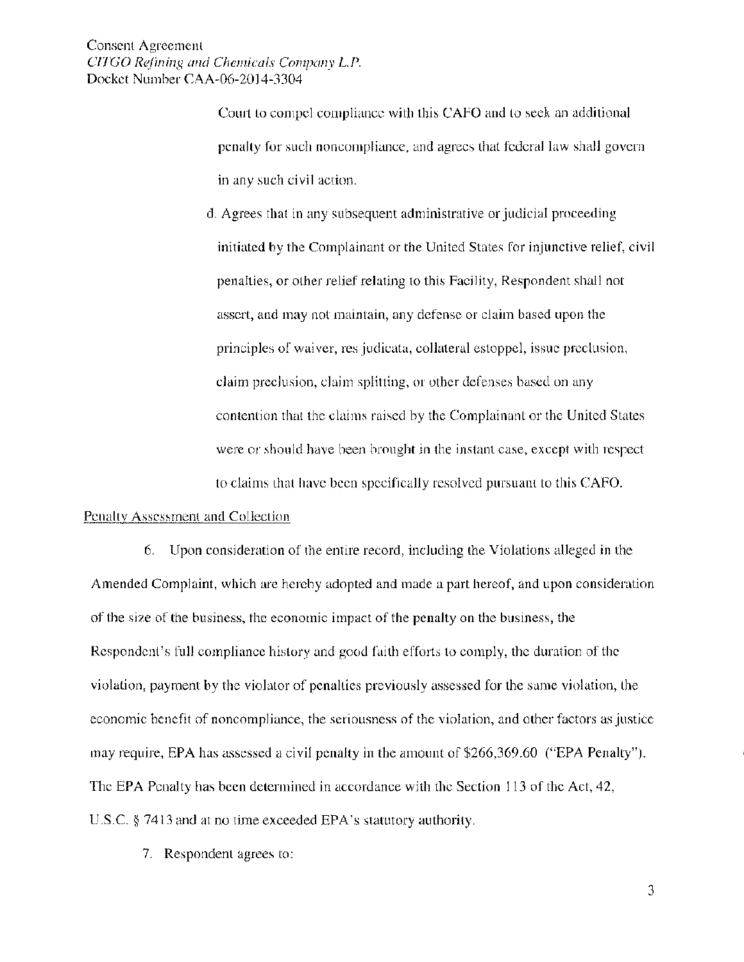Consent Agreement *C!TGO Refining and Chernicals Cmnpany L.P.*  Docket Number CAA-06-2014-3304

> Court to compel compliance with this CAFO and to seek an additional penalty for such noncompliance, and agrees that federal law shall govern in any such civil action.

d. Agrees that in any subsequent administrative or judicial proceeding initiated by the Complainant or the United States for injunctive relief, civil penalties, or other relief relating to this Facility, Respondent shall not assert, and may not maintain, any defense or claim based upon the principles of waiver, res judicata, collateral estoppel, issue preclusion, claim preclusion, claim splitting, or other defenses based on any contention that the claims raised by the Complainant or the United States were or should have been brought in the instant case, except with respect to claims that have been specifically resolved pursuant to this CAFO.

#### Penalty Assessment and Collection

6. Upon consideration of the entire record, including the Violations alleged in the Amended Complaint, which are hereby adopted and made a part hereof, and upon consideration of the size of the business, the economic impact of the penalty on the business, the Respondent's full compliance history and good faith efforts to comply, the duration of the violation, payment by the violator of penalties previously assessed for the same violation, the economic benefit of noncompliance, the seriousness of the violation, and other factors as justice may require, EPA has assessed a civil penalty in the amount of \$266,369.60 ("EPA Penalty"). The EPA Penalty has been determined in accordance with the Section 113 of the Act, 42, U.S.C. § 7413 and at no time exceeded EPA's statutory authority.

7. Respondent agrees to: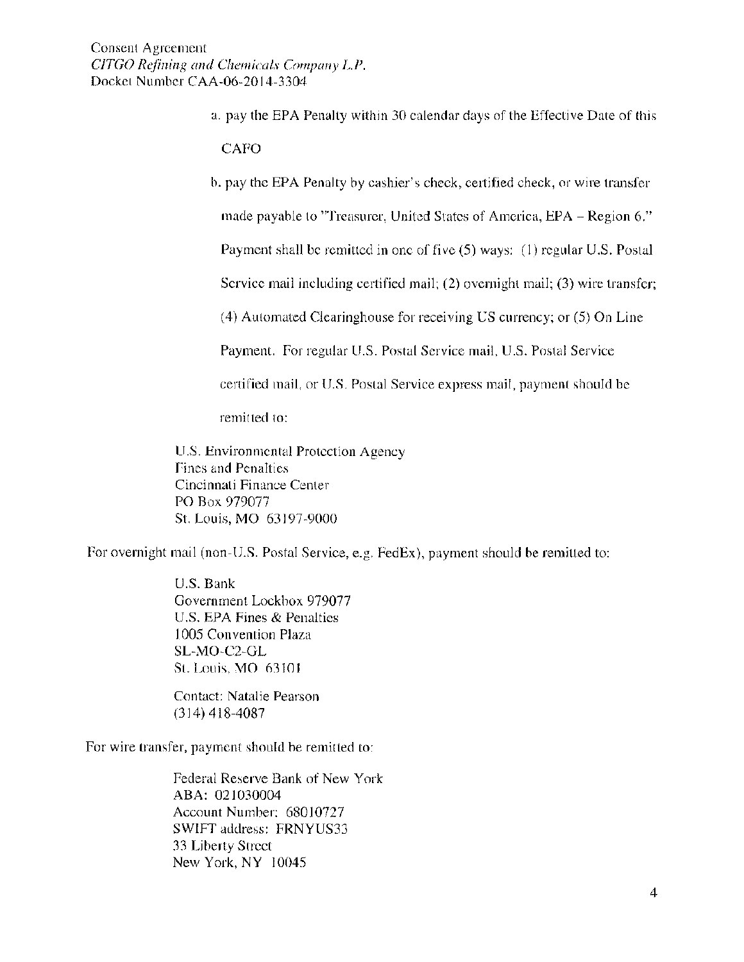- a. pay the EPA Penalty within 30 calendar days of the Effective Date of this **CAFO**
- b. pay the EPA Penalty by cashier's check, certified check, or wire transfer

made payable to "Treasurer, United States of America, EPA- Region 6."

Payment shall be remitted in one of five (5) ways: (I) regular U.S. Postal

Service mail including certified mail; (2) overnight mail; (3) wire transfer;

(4) Automated Clearinghouse for receiving US currency; or (5) On Line

Payment. For regular U.S. Postal Service mail, U.S. Postal Service

certified mail, or U.S. Postal Service express mail, payment should be

remitted to:

U.S. Environmental Protection Agency Fines and Penalties Cincinnati Finance Center PO Box 979077 St. Louis, MO 63197-9000

For overnight mail (non-U.S. Postal Service, e.g. FedEx), payment should be remitted to:

U.S. Bank Government Lockbox 979077 U.S. EPA Fines & Penalties l 005 Convention Plaza SL-MO-C2-GL St. Louis, MO 63101

Contact: Natalie Pearson  $(314)$  418-4087

For wire transfer, payment should be remitted to:

Federal Reserve Bank of New York ABA: 021030004 Account Number: 68010727 SWIFT address: FRNYUS33 33 Liberty Street New York, NY 10045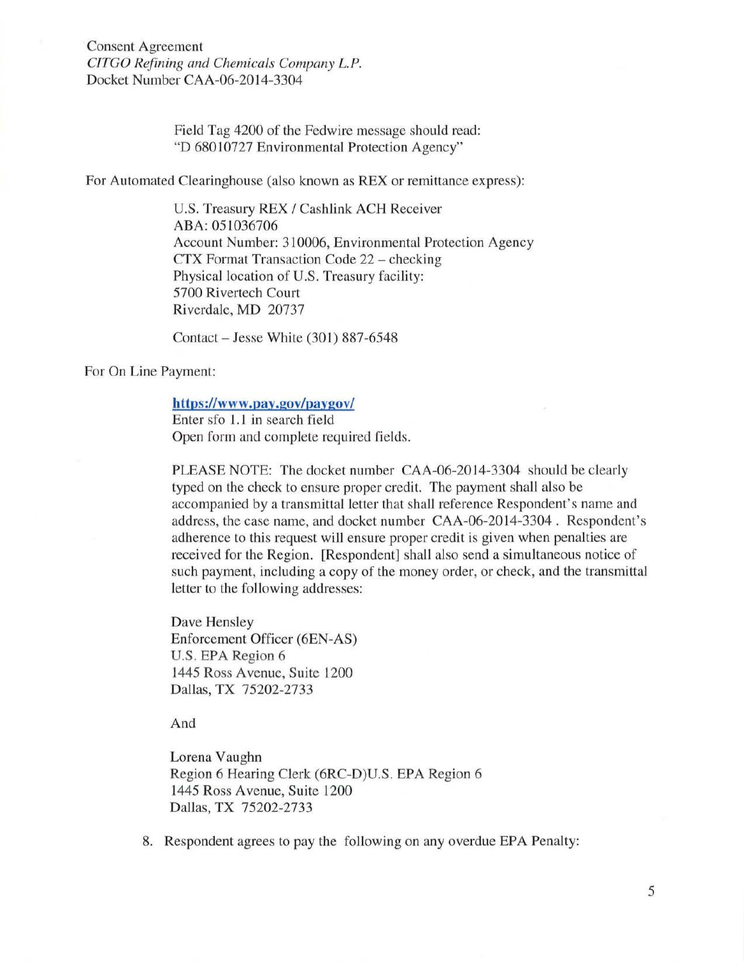Consent Agreement *CJTGO Refining and Chemicals Company L.P.*  Docket Number CAA-06-2014-3304

> Field Tag 4200 of the Fedwire message should read: "D 68010727 Environmental Protection Agency"

For Automated Clearinghouse (also known as REX or remittance express):

U.S. Treasury REX / Cashlink ACH Receiver ABA: 051036706 Account Number: 310006, Environmental Protection Agency CTX Format Transaction Code 22 - checking Physical location of U.S. Treasury facility: 5700 Rivertech Court Riverdale, MD 20737

Contact - Jesse White (301) 887-6548

For On Line Payment:

## **https://www.pay.gov/paygov/**

Enter sfo 1.1 in search field Open form and complete required fields.

PLEASE NOTE: The docket number CAA-06-2014-3304 should be clearly typed on the check to ensure proper credit. The payment shall also be accompanied by a transmittal letter that shall reference Respondent's name and address, the case name, and docket number CAA-06-2014-3304 . Respondent's adherence to this request will ensure proper credit is given when penalties are received for the Region. [Respondent] shall also send a simultaneous notice of such payment, including a copy of the money order, or check, and the transmittal letter to the following addresses:

Dave Hensley Enforcement Officer (6EN-AS) U.S. EPA Region 6 1445 Ross Avenue, Suite 1200 Dallas, TX 75202-2733

And

Lorena Vaughn Region 6 Hearing Clerk (6RC-D)U.S. EPA Region 6 1445 Ross Avenue, Suite 1200 Dallas, TX 75202-2733

8. Respondent agrees to pay the following on any overdue EPA Penalty: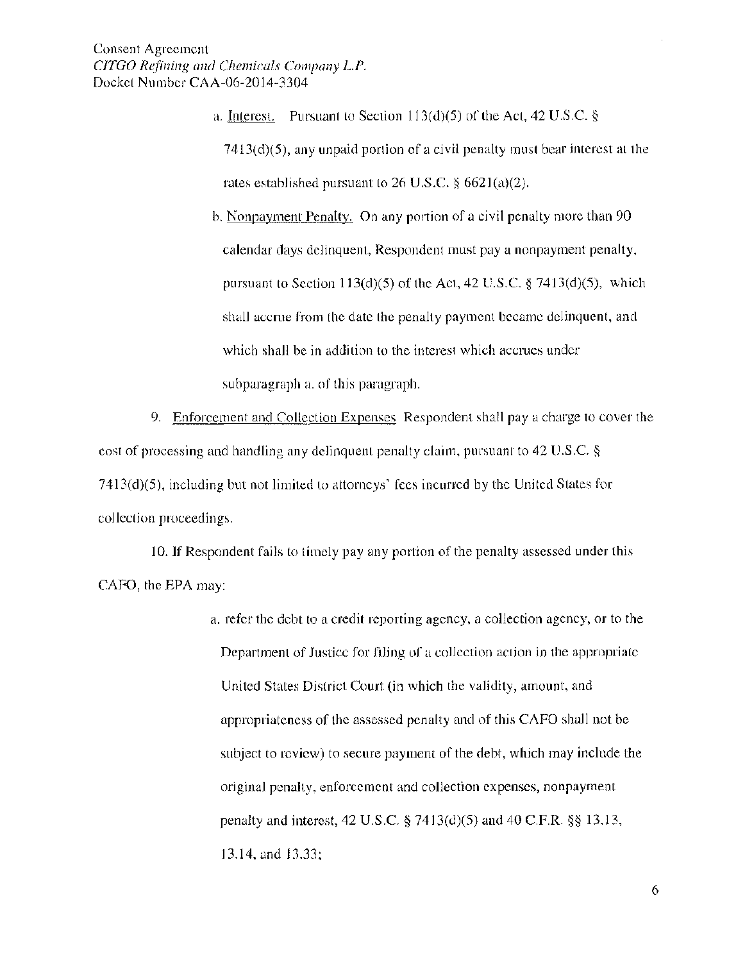- a. Interest. Pursuant to Section 113(d)(5) of the Act, 42 U.S.C.  $\S$ 7413(d)(5), any unpaid portion of a civil penalty must bear interest at the rates established pursuant to 26 U.S.C. § 662l(a)(2).
- b. Nonpayment Penalty. On any portion of a civil penalty more than 90 calendar days delinquent, Respondent must pay a nonpayment penalty, pursuant to Section 113(d)(5) of the Act, 42 U.S.C. § 7413(d)(5), which shall accrue from the date the penalty payment became delinquent, and which shall be in addition to the interest which accrues under subparagraph a. of this paragraph.

9. Enforcement and Collection Expenses Respondent shall pay a charge to cover the cost of processing and handling any delinquent penalty claim, pursuant to 42 U.S.C. § 7413(d)(5), including but not limited to attorneys' fees incurred by the United States for collection proceedings.

10. If Respondent fails to timely pay any portion of the penalty assessed under this CAFO, the EPA may:

> a. refer the debt to a credit reporting agency, a collection agency, or to the Department of Justice for filing of a collection action in the appropriate United States District Court (in which the validity, amount, and appropriateness of the assessed penalty and of this CAFO shall not be subject to review) to secure payment of the debt, which may include the original penalty, enforcement and collection expenses, nonpayment penalty and interest, 42 U.S.C. *§* 7413(d)(5) and 40 C.F.R. §§ 13.13, 13.14, and 13.33;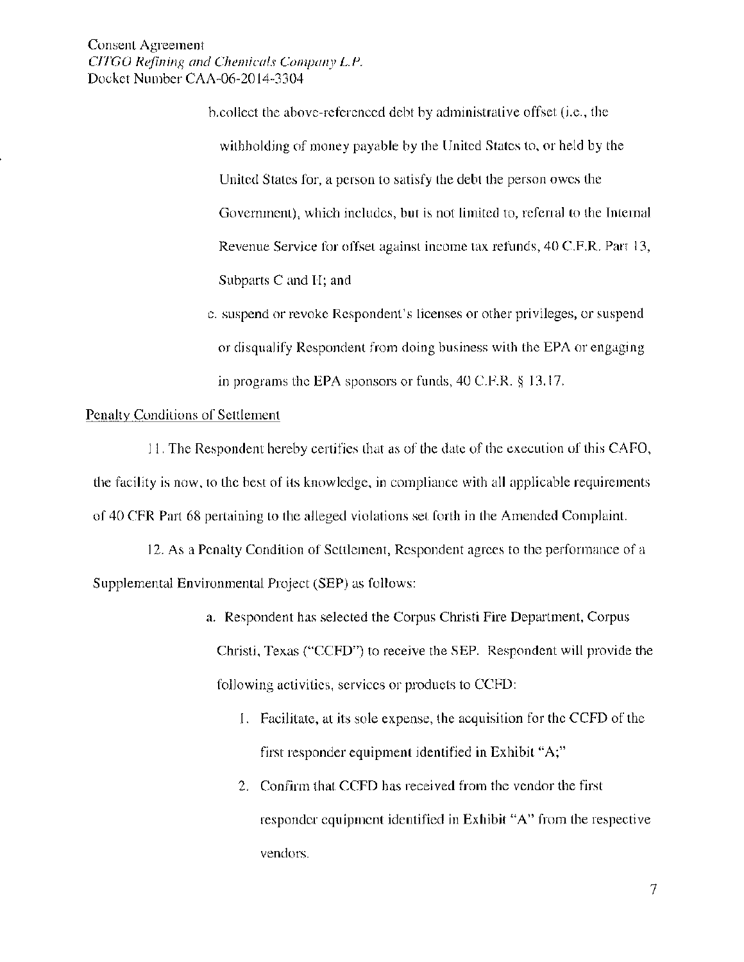Consent Agreement *CJTGO R4ining and Chendcals Cmnpany L.P.*  Docket Number CAA-06-2014-3304

> b.collect the above-referenced debt by administrative offset (i.e., the withholding of money payable by the United States to, or held by the United States for, a person to satisfy the debt the person owes the Government), which includes, hut is not limited to, referral to the Internal Revenue Service for offset against income tax refunds, 40 C.F.R. Part 13, Subparts C and H; and

c. suspend or revoke Respondent's licenses or other privileges, or suspend or disqualify Respondent from doing business with the EPA or engaging in programs the EPA sponsors or funds, 40 C.P.R. § 13.17.

### Penalty Conditions of Settlement

II. The Respondent hereby certifies that as of the date of the execution of this CAFO, the facility is now, to the best of its knowledge, in compliance with all applicable requirements of 40 CFR Part 68 pertaining to the alleged violations set forth in the Amended Complaint.

12. As a Penalty Condition of Settlement, Respondent agrees to the performance of a Supplemental Environmental Project (SEP) as follows:

- a. Respondent has selected the Corpus Christi Fire Department, Corpus Christi, Texas ("CCFD") to receive the SEP. Respondent will provide the following activities, services or products to CCFD:
	- I. Facilitate, at its sole expense, the acquisition for the CCFD of the first responder equipment identified in Exhibit "A;"
	- 2. Confirm that CCFD has received from the vendor the first responder equipment identified in Exhibit "A" from the respective vendors.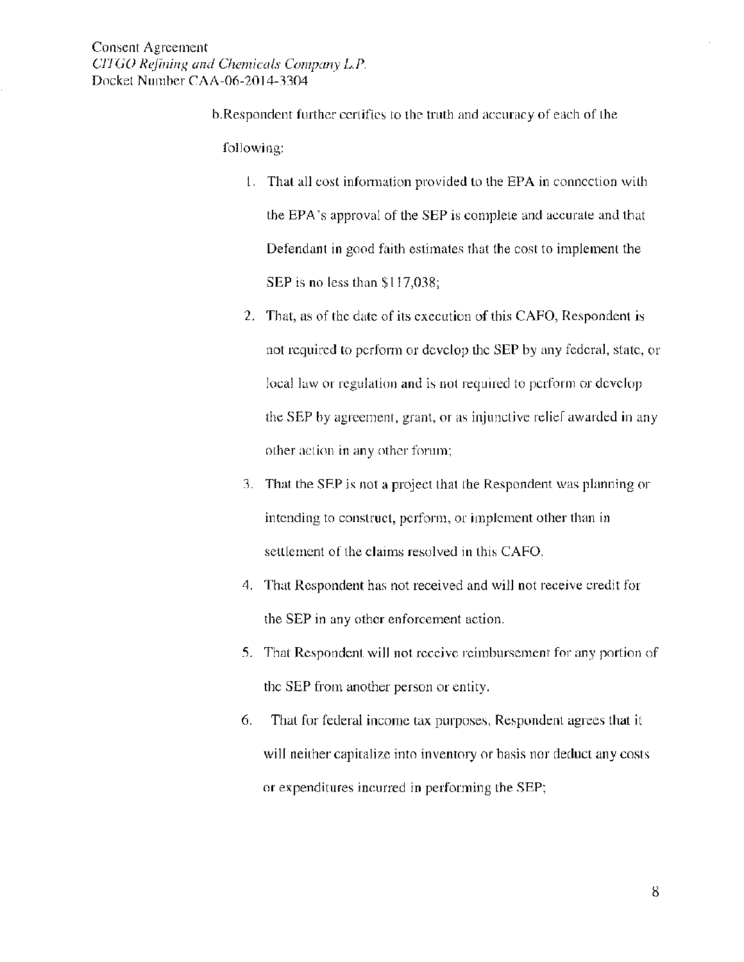b.Respondent further certifies to the truth and accuracy of each of the following:

- I. That all cost information provided to the EPA in connection with the EPA's approval of the SEP is complete and accurate and that Defendant in good faith estimates that the cost to implement the SEP is no less than \$117,038;
- 2. That, as of the date of its execution of this CAFO, Respondent is not required to perform or develop the SEP by any federal, state, or local law or regulation and is not required to perform or develop the SEP by agreement, grant, or as injunctive relief awarded in any other action in any other forum;
- 3. That the SEP is not a project that the Respondent was planning or intending to construct, perform, or implement other than in settlement of the claims resolved in this CAFO.
- 4. That Respondent has not received and will not receive credit for the SEP in any other enforcement action.
- 5. That Respondent will not receive reimbursement for any portion of the SEP from another person or entity.
- 6. That for federal income tax purposes, Respondent agrees that it will neither capitalize into inventory or basis nor deduct any costs or expenditures incurred in performing the SEP;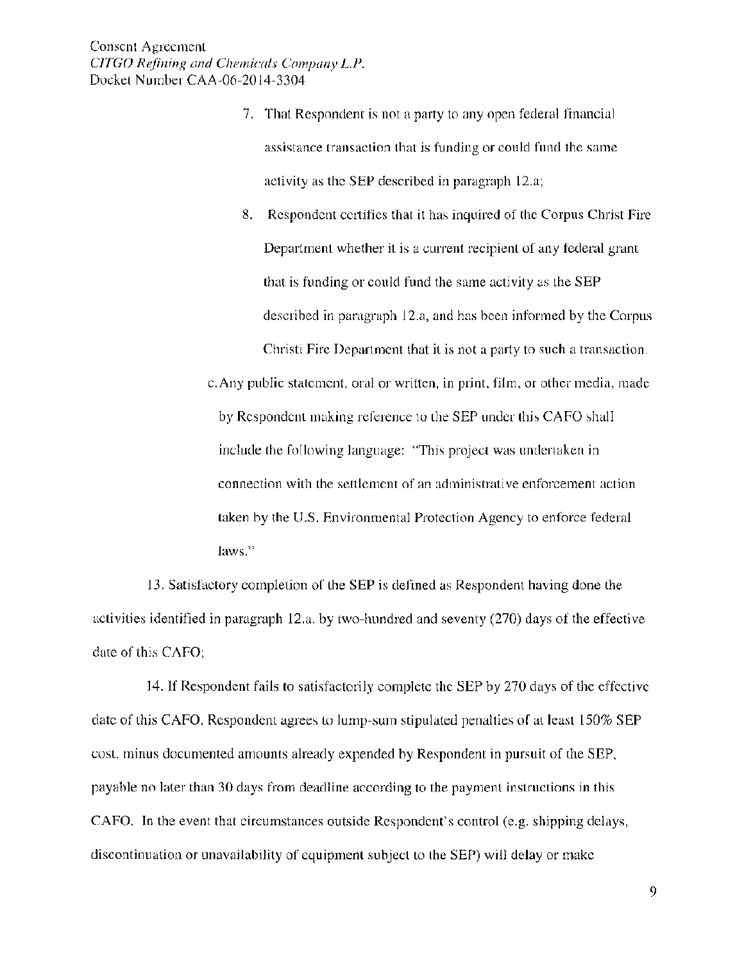7. That Respondent is not a party to any open federal financial assistance transaction that is funding or could fund the same activity as the SEP described in paragraph 12.a;

8. Respondent certifies that it has inquired of the Corpus Christ Fire Department whether it is a current recipient of any federal grant that is funding or could fund the same activity as the SEP described in paragraph 12.a, and has been informed by the Corpus Christi Fire Department that it is not a party to such a transaction.

c. Any public statement, oral or written, in print, film, or other media, made by Respondent making reference to the SEP under this CAFO shall include the following language: "This project was undertaken in connection with the settlement of an administrative enforcement action taken by the U.S. Environmental Protection Agency to enforce federal **laws."** 

13. Satisfactory completion of the SEP is defined as Respondent having done the activities identified in paragraph 12.a. by two-hundred and seventy (270) days of the effective date of this CAFO;

14. If Respondent fails to satisfactorily complete the SEP by 270 days of the effective date of this CAFO, Respondent agrees to lump-sum stipulated penalties of at least 150% SEP cost, minus documented amounts already expended by Respondent in pursuit of the SEP, payable no later than 30 days from deadline according to the payment instructions in this CAFO. In the event that circumstances outside Respondent's control (e.g. shipping delays, discontinuation or unavailability of equipment subject to the SEP) will delay or make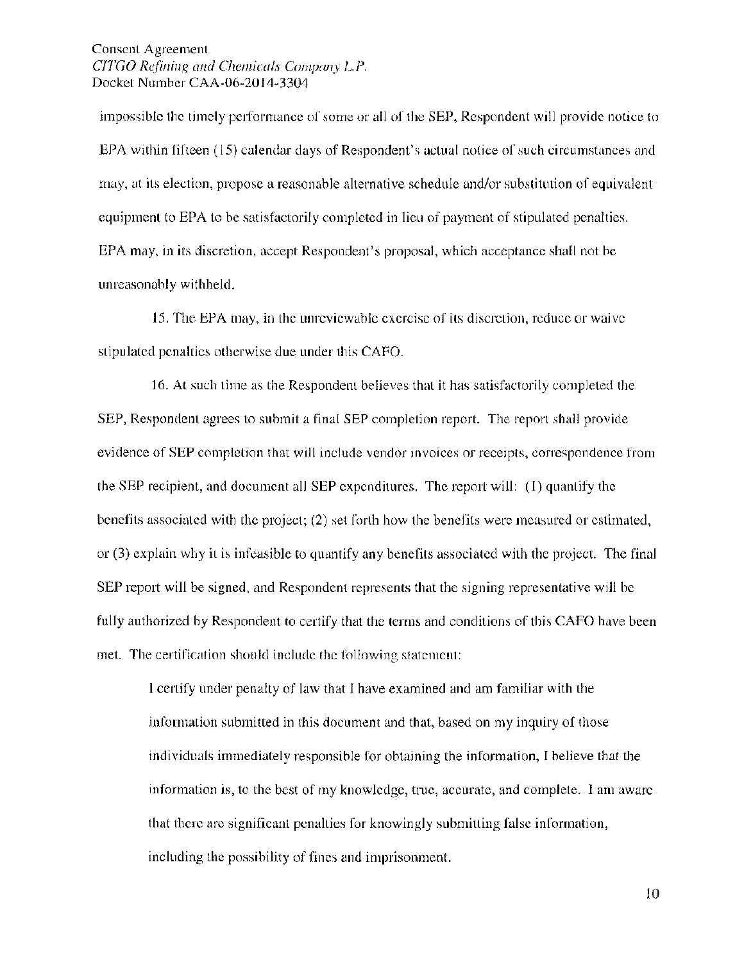Consent Agreement *CITGO Refining and Chernicals Cornpany L.P.*  Docket Number CAA-06-2014-3304

impossible the timely performance of some or all of the SEP, Respondent will provide notice to EPA within fifteen ( 15) calendar days of Respondent's actual notice of such circumstances and may, at its election, propose a reasonable alternative schedule and/or substitution of equivalent equipment to EPA to be satisfactorily completed in lieu of payment of stipulated penalties. EPA may, in its discretion, accept Respondent's proposal, which acceptance shall not be unreasonably withheld.

15. The EPA may, in the unreviewable exercise of its discretion, reduce or waive stipulated penalties otherwise due under this CAFO.

16. At such time as the Respondent believes that it has satisfactorily completed the SEP, Respondent agrees to submit a final SEP completion report. The report shall provide evidence of SEP completion that will include vendor invoices or receipts, correspondence from the SEP recipient, and document all SEP expenditures. The report will: (I) quantify the benefits associated with the project; (2) set forth how the benefits were measured or estimated, or (3) explain why it is infeasible to quantify any benefits associated with the project. The final SEP report will be signed, and Respondent represents that the signing representative will be fully authorized by Respondent to certify that the terms and conditions of this CAFO have been met. The certification should include the following statement:

I certify under penalty of law that I have examined and am familiar with the information submitted in this document and that, based on my inquiry of those individuals immediately responsible for obtaining the information, I believe that the information is, to the best of my knowledge, true, accurate, and complete. I am aware that there are significant penalties for knowingly submitting false information, including the possibility of fines and imprisonment.

 $10$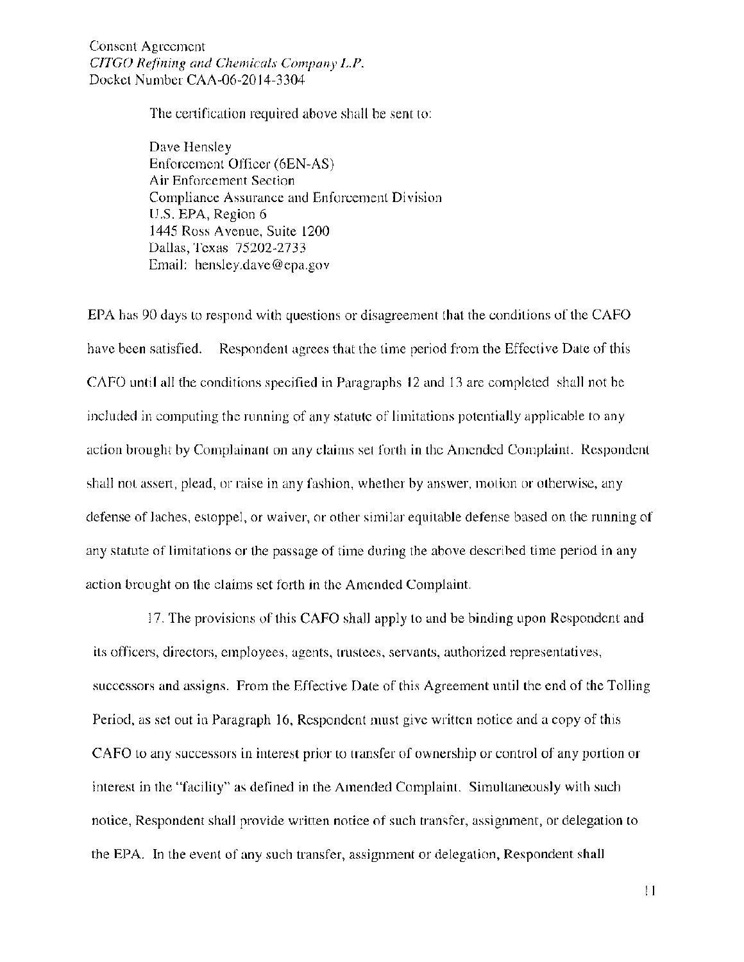Consent Agreement *CITGO Refining and Chemicals Cmnpany L.P.*  Docket Number CAA-06-20 14-3304

The certification required above shall be sent to:

Dave Hensley Enforcement Officer (6EN-AS) Air Enforcement Section Compliance Assurance and Enforcement Division U.S. EPA, Region 6 1445 Ross A venue, Suite 1200 Dallas, Texas 75202-2733 Email: hens1ey.dave@epa.gov

EPA has 90 days to respond with questions or disagreement that the conditions of the CAFO have been satisfied. Respondent agrees that the time period from the Effective Date of this CAFO until all the conditions specified in Paragraphs 12 and 13 are completed shall not be included in computing the running of any statute of limitations potentially applicable to any action brought by Complainant on any claims set forth in the Amended Complaint. Respondent shall not assert, plead, or raise in any fashion, whether by answer, motion or otherwise, any defense of laches, estoppel, or waiver, or other similar equitable defense based on the running of any statute of limitations or the passage of time during the above described time period in any action brought on the claims set forth in the Amended Complaint.

17. The provisions of this CAFO shall apply to and be binding upon Respondent and its officers, directors, employees, agents, trustees, servants, authorized representatives, successors and assigns. From the Effective Date of this Agreement until the end of the Tolling Period, as set out in Paragraph 16, Respondent must give written notice and a copy of this CAFO to any successors in interest prior to transfer of ownership or control of any portion or interest in the "facility" as defined in the Amended Complaint. Simultaneously with such notice, Respondent shall provide written notice of such transfer, assignment, or delegation to the EPA. In the event of any such transfer, assignment or delegation, Respondent shall

II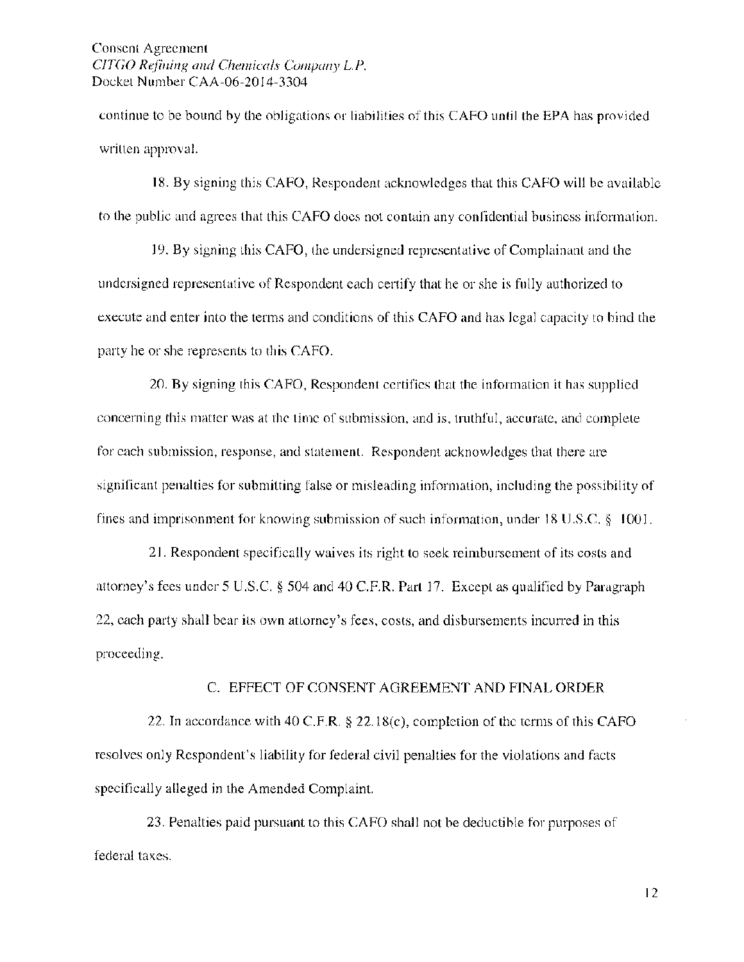Consent Agreement *C!TGO Refining and Chemicals Cmnpany L.P.*  Docket Number CAA-06-2014-3304

continue to be bound by the obligations or liabilities of this CAFO until the EPA has provided written approval.

18. By signing this CAFO, Respondent acknowledges that this CAFO will be available to the public and agrees that this CAFO docs not contain any confidential business information.

19. By signing this CAFO, the undersigned representative of Complainant and the undersigned representative of Respondent each certify that he or she is fully authorized to execute and enter into the terms and conditions of this CAFO and has legal capacity to bind the party he or she represents to this CAFO.

20. By signing this CAFO, Respondent certifies that the information it has supplied concerning this matter was at the time of submission, and is, truthful, accurate, and complete for each submission, response, and statement. Respondent acknowledges that there are significant penalties for submitting false or misleading information, including the possibility of fines and imprisonment for knowing submission of such information, under 18 U.S.C. § I 001.

21. Respondent specifically waives its right to seek reimbursement of its costs and attorney's fees under 5 U.S.C. § 504 and 40 C.F.R. Part 17. Except as qualified by Paragraph 22, each party shall bear its own attorney's fees, costs, and disbursements incurred in this proceeding.

#### C. EFFECT OF CONSENT AGREEMENT AND FINAL ORDER

22. In accordance with 40 C.F.R. § 22.18(c), completion of the terms of this CAFO resolves only Respondent's liability for federal civil penalties for the violations and facts specifically alleged in the Amended Complaint.

23. Penalties paid pursuant to this CAFO shall not be deductible for purposes of federal taxes.

12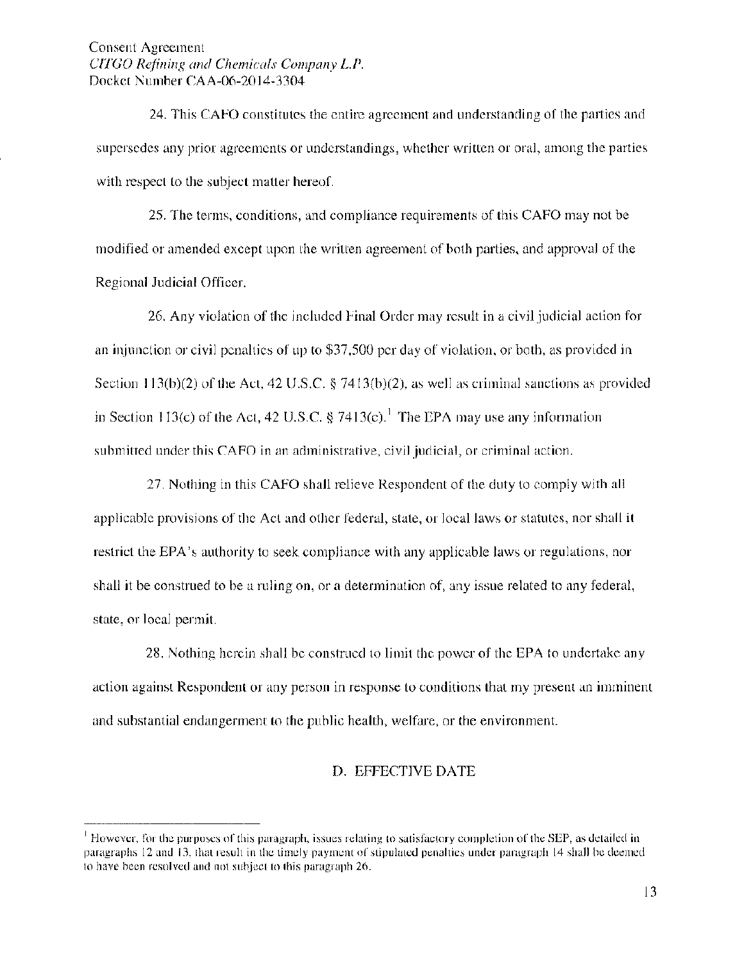24. This CAFO constitutes the entire agreement and understanding of the parties and supersedes any prior agreements or understandings, whether written or oral, among the parties with respect to the subject matter hereof.

25. The terms, conditions, and compliance requirements of this CAFO may not be modified or amended except upon the written agreement of both parties, and approval of the Regional Judicial Officer.

26. Any violation of the included Final Order may result in a civil judicial action for an injunction or civil penalties of up to \$37,500 per clay of violation, or both, as provided in Section 113(b)(2) of the Act, 42 U.S.C. § 7413(b)(2), as well as criminal sanctions as provided in Section 113(c) of the Act, 42 U.S.C. § 7413(c).<sup>1</sup> The EPA may use any information submitted under this CAFO in an administrative, civil judicial, or criminal action.

27. Nothing in this CAFO shall relieve Respondent of the duty to comply with all applicable provisions of the Act and other federal, state, or local laws or statutes, nor shall it restrict the EPA's authority to seek compliance with any applicable laws or regulations, nor shall it be construed to be a ruling on, or a determination of, any issue related to any federal, state, or local permit.

28. Nothing herein shall be construed to limit the power of the EPA to undertake any action against Respondent or any person in response to conditions that my present an imminent and substantial endangerment to the public health, welfare, or the environment.

# D. EFFECTIVE DATE

<sup>1</sup>**However, for the purposes of this paragraph, issues relating to satisfactory completion of the SEP, as detailed in paragraphs 12 and 13, that result in the timely payment of stipulated penalties under paragraph 14 shall be deemed to have been resolved and not subject to this paragraph** 26.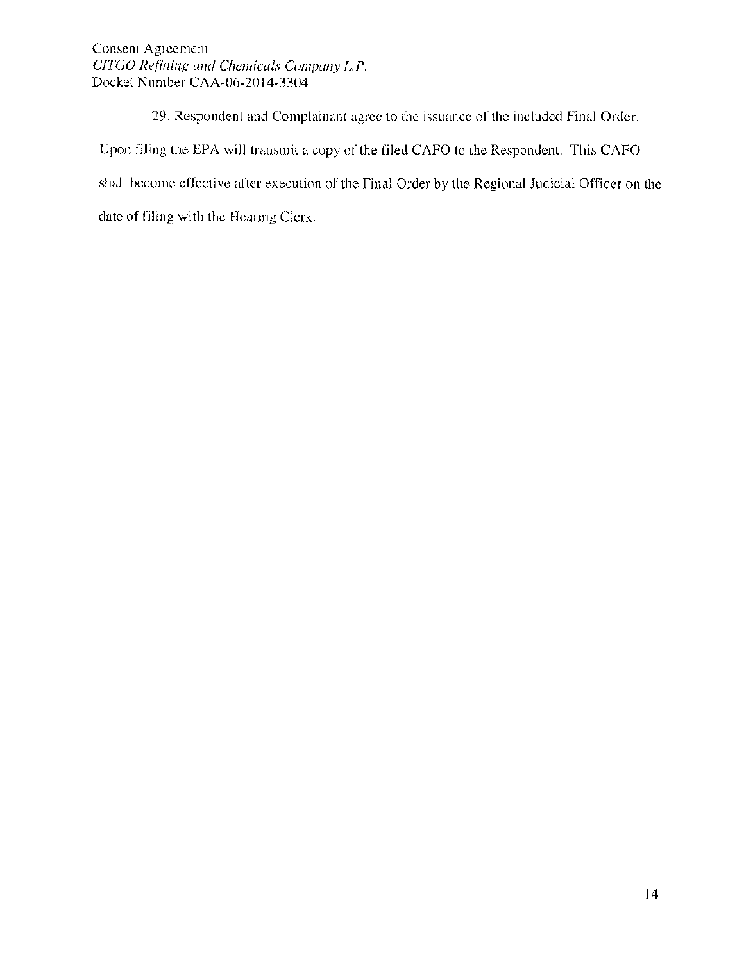Consent Agreement *CITGO Refining and Chemicals Company L.P.*  Docket Number CAA-06-2014-3304

29. Respondent and Complainant agree to the issuance of the included Final Order. Upon filing the EPA will transmit a copy of the filed CAFO to the Respondent. This CAFO shall become effective after execution of the Final Order by the Regional Judicial Officer on the date of filing with the Hearing Clerk.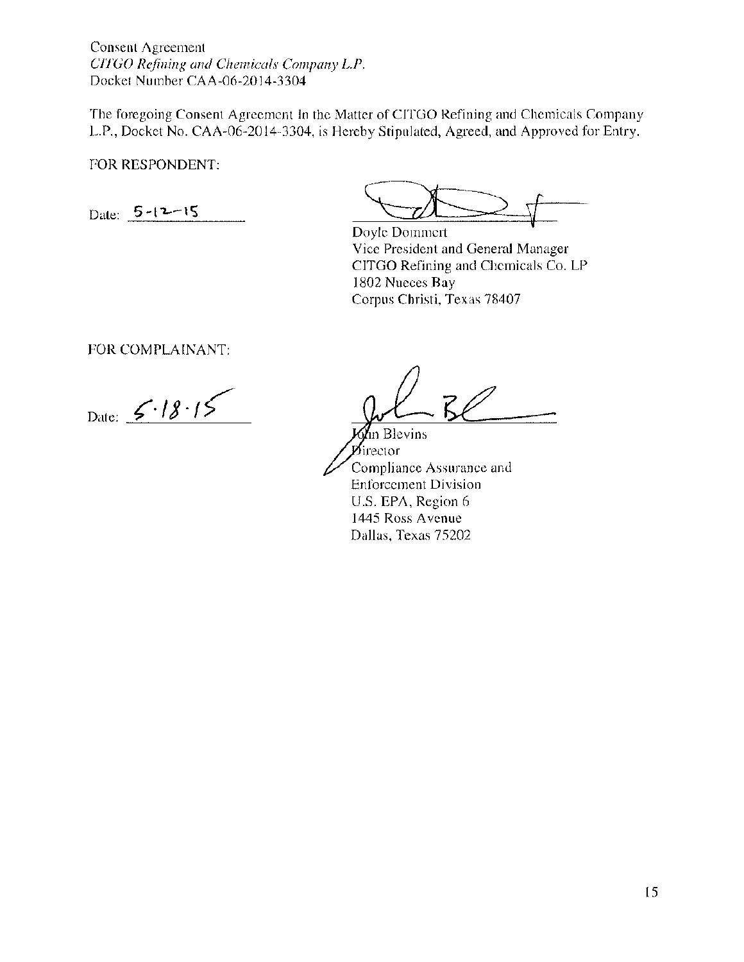Consent Agreement *CITGO Refining and Chernicals Company L.P.*  Docket Number CAA-06-2014-3304

The foregoing Consent Agreement In the Matter of CITGO Refining and Chemicals Company L.P., Docket No. CAA-06-2014-3304, is Hereby Stipulated, Agreed, and Approved for Entry.

FOR RESPONDENT:

Date:  $5 - 12 - 15$ 

Doyle Dommert Vice President and General Manager CITGO Refining and Chemicals Co. LP 1802 Nueces Bay Corpus Christi, Texas 78407

FOR COMPLAINANT:

Date:  $5.18.15$ 

-

In Blevins  $\mathbf{p}_{\text{ifector}}$ Compliance Assurance and Enforcement Division U.S. EPA, Region 6 1445 Ross A venue Dallas, Texas 75202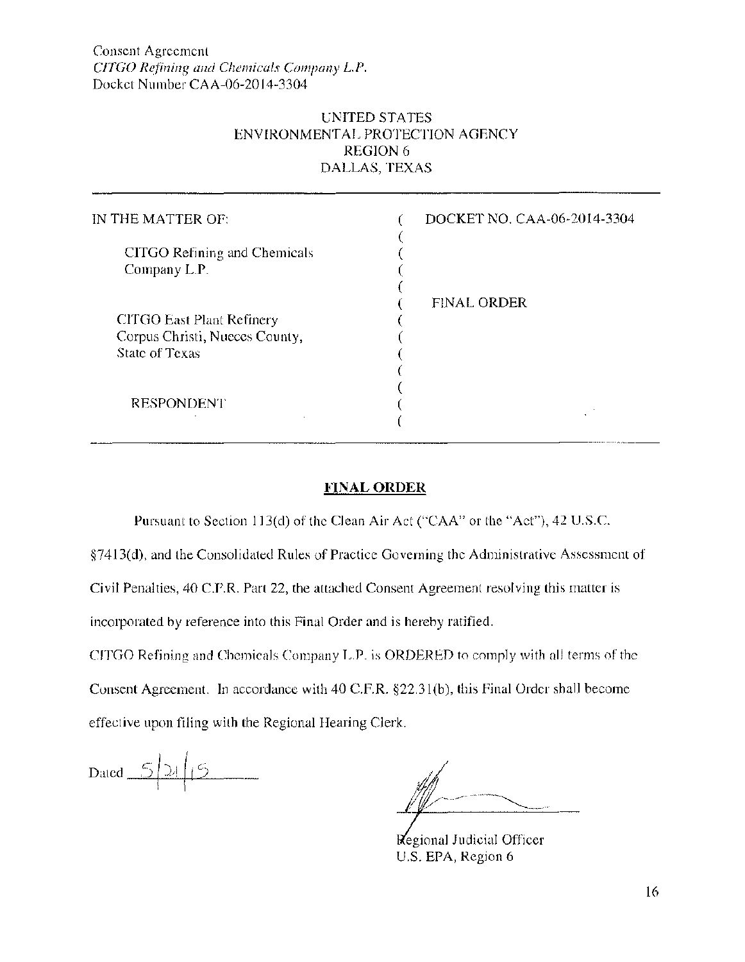# UNITED STATES ENVIRONMENTAL PROTECTION AGENCY REGION 6 DALLAS, TEXAS

| IN THE MATTER OF:                                                                           | DOCKET NO. CAA-06-2014-3304 |
|---------------------------------------------------------------------------------------------|-----------------------------|
| CITGO Refining and Chemicals<br>Company L.P.                                                |                             |
| <b>CITGO East Plant Refinery</b><br>Corpus Christi, Nueces County,<br><b>State of Texas</b> | <b>FINAL ORDER</b>          |
| <b>RESPONDENT</b>                                                                           |                             |

# **FINAL ORDER**

Pursuant to Section 113(d) of the Clean Air Act ("CAA'' or the "Act"), 42 U.S.C.

§7413(d), and the Consolidated Rules of Practice Governing the Administrative Assessment of

Civil Penalties, 40 C.F.R. Part 22, the attached Consent Agreement resolving this matter is

incorporated by reference into this Final Order and is hereby ratified.

CJTGO Refining and Chemicals Company L.P. is ORDERED to comply with all terms of the Consent Agreement. In accordance with 40 C.F.R. §22.3l(b), this Final Order shall become effective upon filing with the Regional Hearing Clerk.

Dated  $\_\_5$ 

Regional Judicial Officer U.S. EPA, Region 6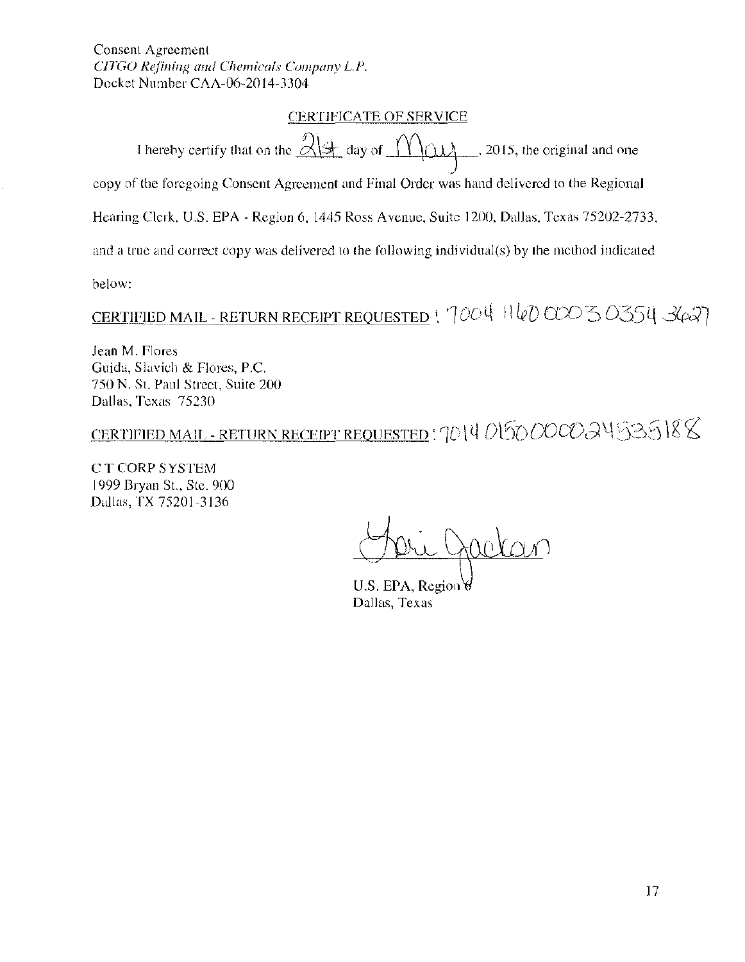#### ~ERTJFJCATE OF SERVICE

I hereby certify that on the  $\frac{\partial |\dot{z}|}{\partial \dot{z}}$  day of  $\frac{\partial |\dot{z}|}{\partial \dot{z}}$ , 2015, the original and one copy of the foregoing Consent Agreement and Final Order was hand delivered to the Regional Hearing Clerk, U.S. EPA- Region 6, 1445 Ross Avenue, Suite 1200, Dallas, Texas 75202-2733,

and a true and correct copy was delivered to the following individual(s) by the method indicated

below:

CERTIFIED MAIL - RETURN RECEIPT REQUESTED  $\frac{1}{1004}$  1160 000 3 0354 3627

Jean M. Flores Guida, Slavich & Flores, P.C. 750 N. St. Paul Street, Suite 200 Dallas, Texas 75230

CERTIFIED MAIL-RETURN RECEIPT REQUESTED: '10\4050000Q4535\88

C T CORP SYSTEM 1999 Bryan St., Ste. 900 Dallas, TX 75201-3136

 $\sim$  or points

U.S. EPA, Region & Dallas, Texas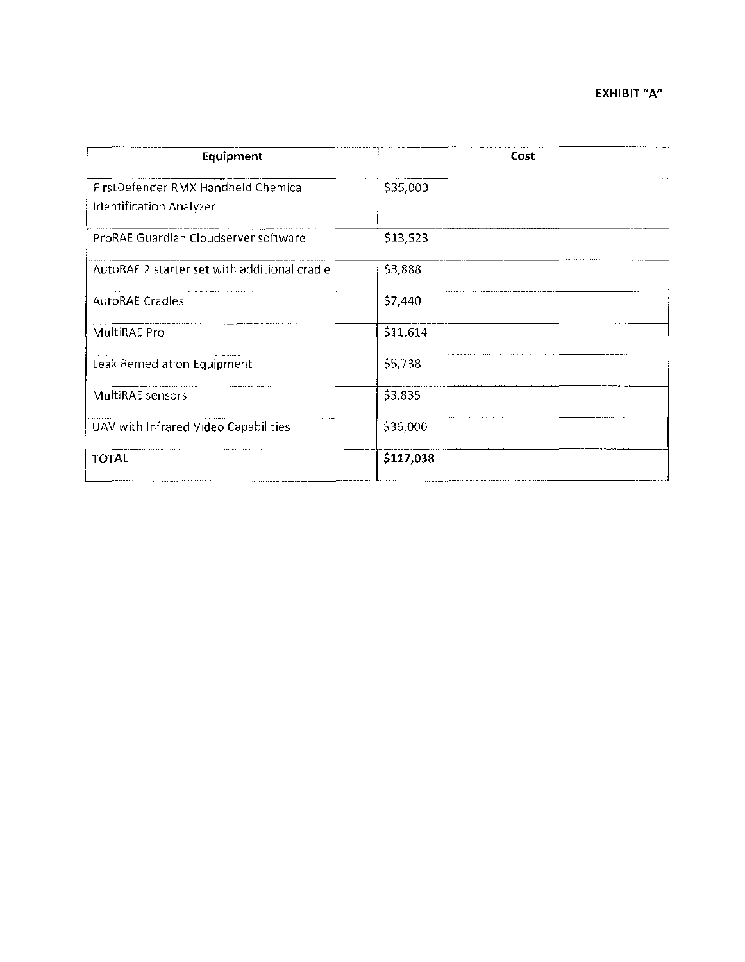| Equipment                                                      | Cost      |
|----------------------------------------------------------------|-----------|
| FirstDefender RMX Handheld Chemical<br>Identification Analyzer | \$35,000  |
| ProRAE Guardian Cloudserver software                           | \$13,523  |
| AutoRAE 2 starter set with additional cradle                   | \$3,888   |
| <b>AutoRAE Cradles</b>                                         | \$7,440   |
| MultiRAE Pro                                                   | \$11,614  |
| Leak Remediation Equipment                                     | \$5,738   |
| MultiRAE sensors                                               | \$3,835   |
| UAV with Infrared Video Capabilities                           | \$36,000  |
| <b>TOTAL</b>                                                   | \$117,038 |